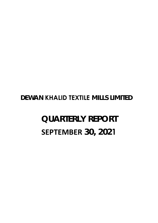# **DEWAN KHALID TEXTILE MILLS LIMITED**

# **QUARTERLY REPORT SEPTEMBER 30, 2021**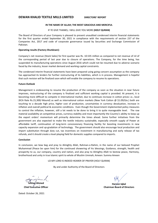## **IN THE NAME OF ALLAH; THE MOST GRACIOUS AND MERCIFUL**

## IF YE GIVE THANKS, I WILL GIVE YOU MORE **(HOLY QURAN)**

The Board of Directors of your Company is pleased to present unaudited condensed interim financial statements for the first quarter ended September 30, 2021 in compliance with the requirements of section 237 of the Companies Act, 2017 and code of corporate governance issued by Securities and Exchange Commission of Pakistan.

## **Operating results (Factory Shutdown):**

Company's net revenue (Stock Sales) for first quarter was Rs. 10.535 million as compared to net revenue of nil of the corresponding period of last year due to closure of operations. The Company, for the time being, has suspended its manufacturing operations since August 2016 which could not be resumed due to adverse scenario faced by the industry, lesser market demand and working capital constraints.

The condensed interim financial statements have been prepared using going concern assumption as the company has approached its lenders for further restructuring of its liabilities, which is in process. Management is hopeful that such revision will be finalized soon which will enable the company to resume its operations.

### **Future Outlook**

Management is endeavoring to resume the production of the company as soon as the situation in near future improves, restructuring of the company is finalized and sufficient working capital is provided. At present, it is becoming more difficult to compete in international market, due to continues increase in cotton prices i.e., local (KCA Rate Rs.15,300/‐Maund) as well as international cotton markets (New York Cotton @ \$1.09/Lbs.) both are touching to a decade high price, higher cost of production, uncertainties in currency devaluation, increase in inflation and overall political & economic conditions. Even though the Government implemented policy measures to control the inflation, however, still a lot needs to be done to bring it to quite manageable level. The raw material availability at competitive prices, currency stability and most importantly the Country's ability to keep up the export orders' momentum will primarily determine the times ahead. Some further initiatives from the government are also expected to make the textile industry sustainable, especially smooth supply of Power at affordable tariff, continuation of long-term concessionary financing facility for boosting investments in new capacity expansion and up‐gradation of technology. The government should also encourage local production and import substitution through duty cut, tax incentives on investment in manufacturing and early release of tax refunds, and it should create a level playing field for domestic supplies compared to imports.

### **Conclusion**

In conclusion, we bow beg and pray to Almighty Allah, Rahman-o-Rahim, in the name of our beloved Prophet Muhammad (Peace be upon him) for the continued showering of his blessings, Guidance, strength, health and prosperity to us, our company, country and nation, and also pray to Almighty Allah to bestow peace, Harmony, brotherhood and unity in true Islamic spirit to whole of Muslim Ummah; Ameen: Summa Ameen

LO‐MY LORD IS INDEED HEARER OF PRAYER (HOLY QURAN)

By and under Authority of the Board of Directors

**Ishtiaq Ahmed** 

**Chief Executive Officer** 

**Hargon Iqbal Chairman Board of Directors** 

Dated: October 26, 2021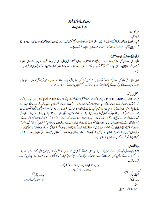# ديوان خالد ٹيکسٹا کل لمز لمیپٹر ڈائریکٹرزر یورٹ

محتر مشيئر بولڈرز، السلام عليم، آپ کی ٹینی کے بورڈ آف ڈائریکٹر دکپنیزا یکٹ، 2017 کی دفعہ 237 اورسیکیو رٹی اینڈ ایکسچینج کمیشن آف پاکستان کے جاری کوڈ آف کارپوریٹ گورنس کے تحت 30 ستمبر 2021ء کو تم ہونے والی پہلی سہ ماہی کے غیر آ ڈٹ شدہ عبوری مالیاتی حسابات پیش کررہے ہیں۔

بالماتي نتائج وركار كردگي: (بيدادار معطل)

یہلی سہ ماہی کے دوران کمپنی کےخالص فروحت (اسٹاک)مبلغ 10.535 ملین روپےرہمی اورگز شتہ سال کی پہلی سہ ماہی میں پیداوار معطل ہونے کی دیہ سے صفر رہی کے پنی نے وقتی طور پراگست 2016ء سے اپنی پیدادار کے کمل کو مطل کر دیا ہے جوکہ صنعت میں مارسے ، مارکیٹ میں طلب کی کمی اورکام چلانے کے لیے سرمایہ میں کمی کی دجہ سے

مالیاتی حسابات چلتی ہوئی کمپنی کے جاری کر دہ امور کے تحت مرتب <sub>کئے</sub> گئی کیونکہ کمپنی نے اپنے قرمز اس کے حوالے سے دوبار دیتر تیب کیلئے قرض خواہوں سے رابطہ کیاہے جوان کے زیرغور ہے ۔انظامیہ کامید ہے کہ پیٰظر ٹانی حلد کمل ہوجائے گی جس سے کمپنی کواپنی پیداوار بھال کرنے میں مدد ملے گی۔

# متغنل وايك نظر:

اس وقت مقا مي روئي (KCA ريٹ 15,300 روپے من ) کے ساتھ ساتھ اعزیشنل کاش مارکیٹس (تیویا رک کاش \$1.09/Lb ) کی زیا دہ قیمتوں ،زیا دہ پیداواری لاگت، کرنسی کی تمدر میں کمی اورا فراط زرمیں اضاف معاشی اورسای عدم استحکام کے باعث بین الاقوامی مار باسکر استشکل ہوتا جار ہاہے ۔اگرچہ حکومت نے مہنگائی پرقابو پانے کےلئے پالیسی اقد امات رعمل درآ مدکیا،تا ہم اسے قابل انتظام پلح پر لانے کےلئے ابھی بہت کچھ کرنے کی ضرورت ہے ۔خام مال کی دستیانی اورقیتیں،کرنسی کو پنجھماورسب سے اہم ہے کہ برآمداتی آرڈرز کی رفیارکوبرقرارر کھیکی ملکی صلاحیت ہنیا دی طور پر آنے والے وقت کاتعین کرےگی ساسٹیٹ ہیں آف پاکستان کی طرف سے دی جانے والی عارضی اقتصادی ری فنانس سہولت کے نتیجے میں اگلے مالی کے آغازے پیداواری صلاحیتوں میں اضافہ ہوگا۔ برآ مدی آرڈ رز کی موجودگی بڑھتی ہوئی صلاحیتوں کو پورا کرنے اورملک کی معاشی خوشحا لی کے لیےا ہم ہوں گی۔ ٹیکشائل امڈسٹر**ی کو پ**ھنجم بنانے کے لیے حکومت کی اس سے مزید اقد امات خاص طور پرستی قیمت پر گیس کی مستقل فراہمی ،نئ صلاحیت میں توسیع اور ٹیکنالوجی کی اپ گریڈیشن میں سرمایہ کارکی میں افغان کی میں اس کی توقیق ہے کے حکومت کوڈیوٹی س مینوفیکچرنگ میں سر مارکاری پیکس کی مراعات اور پر آمدکنندگان کے لیے لیکس ریفنڈ کی جلدا تر اے ذریعے مقامی پیداوارد درآمد کے متبادل کی بھی حوصلہا فزائی کرنی جا ہےاورا ہے درآمدات کے مقابلے میں گھریلورسد کے لیے برابری کامیدان بنانا چاہئے۔

الخباد تشكراوزنيجه آخر میںہم اللہ تعالیٰ رحمٰن ورحیم سے دعا کرتے ہیں کہ واپنے سبیب حضرت مجم<sup>ع</sup>لیٰ تھے کے شکسا <sub>ت</sub>کرم ہم کے اس کے ساتھ کے اس کے جوکہ بیصرف ہم پر بلکہ ہاری کمپنیااورہارے ملک دقوم ربھی اپنی رحمت ما زل کرے ہم اللہ تعالیٰ سے ربھی دعا کرتے ہیں کہ تم مسلم اتمہ کے مابین صبح اسلامی حذب اخوت اور بھائی حارکی پیدا کرے۔ آبلن فميرآبلن۔

میراپروردگاریقیناً ہماری دعا وَں کو سنتاہے۔(قمر آن کریم) بورڈ آف ڈائر یکٹرزگی جانب سے

**ارون ا قبارًا پ**ه پ چیئر مین بورڈ آف ڈائر یکٹرز

)، ۱۱۰۰۰ - میل<br>ا<mark>شتیاق احم</mark>ر چيف! يلزيكو کراچي؛ مودى: 26اكتوبر 2021ء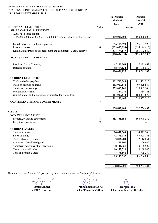# **DEWAN KHALID TEXTILE MILLS LIMITED CONDENSED INTERIM STATEMENT OF FINANCIAL POSITION AS AT 30TH SEPTEMBER, 2021**

|                                                                                                     |              | (Un-Audited)<br>July-Sept<br>2021 | (Audited)<br><b>June 30,</b><br>2021 |
|-----------------------------------------------------------------------------------------------------|--------------|-----------------------------------|--------------------------------------|
| <b>EQUITY AND LIABILITIES</b>                                                                       | <b>Notes</b> | --------- (Rupees) --             |                                      |
| <b>SHARE CAPITAL &amp; RESERVES</b>                                                                 |              |                                   |                                      |
| Authorized share capital<br>15,000,000 (June 30, 2021: 15,000,000) ordinary shares of Rs. 10/- each |              | 150,000,000                       | 150,000,000                          |
| Issued, subscribed and paid-up capital                                                              |              | 96,107,590                        | 96,107,590                           |
| Revenue reserves                                                                                    | 6            | (659,007,093)                     | (654, 144, 410)                      |
| Revaluation surplus on property plant and equipment (Capital reserve)                               |              | 374,494,549                       | 381,143,840                          |
|                                                                                                     |              | (188, 404, 954)                   | (176, 892, 980)                      |
| <b>NON CURRENT LIABILITIES</b>                                                                      |              |                                   |                                      |
| Provision for staff gratuity                                                                        |              | 17,295,063                        | 17,295,063                           |
| Deferred taxation                                                                                   |              | 98,784,132                        | 101,500,039                          |
|                                                                                                     |              | 116,079,195                       | 118,795,102                          |
| <b>CURRENT LIABILITIES</b>                                                                          |              |                                   |                                      |
| Trade and other payables                                                                            |              | 152,765,543                       | 151,501,210                          |
| Mark-up accrued on loans                                                                            |              | 102,017,570                       | 99,425,547                           |
| Short term borrowings                                                                               |              | 352,083,141                       | 355,583,140                          |
| Unclaimed dividend                                                                                  |              | 334,741                           | 334,741                              |
| Current and over due portion of syndicated long term loan                                           |              | 104,007,672                       | 104,007,672                          |
|                                                                                                     |              | 711,208,667                       | 710,852,310                          |
| <b>CONTINGENCIES AND COMMITMENTS</b>                                                                | 7            |                                   |                                      |
|                                                                                                     |              | 638,882,908                       | 652,754,432                          |
| <b>ASSETS</b>                                                                                       |              |                                   |                                      |
| <b>NON CURRENT ASSETS</b>                                                                           |              |                                   |                                      |
| Property, plant and equipments                                                                      | $\pmb{8}$    | 553,735,156                       | 566,048,352                          |
| Long term investment                                                                                | 9            |                                   |                                      |
| <b>CURRENT ASSETS</b>                                                                               |              |                                   |                                      |
| Stores and spares                                                                                   |              | 14,071,348                        | 14,071,348                           |
| Stock-in-Trade                                                                                      |              | 42,876,975                        | 49,078,145                           |
| Trade debtors - Unsecured                                                                           |              | 2,076,484                         | 2,116,861                            |
| Advances - Considered good                                                                          |              | 70,000                            | 70,000                               |
| Short term deposit & other receivable                                                               |              | 8,141,758                         | 10,185,522                           |
| Taxes recoverable - Net                                                                             |              | 10,132,326                        | 10,188,945                           |
| Cash and bank balances                                                                              |              | 7,778,861                         | 995,259                              |
|                                                                                                     |              | 85, 147, 752                      | 86,706,080                           |
|                                                                                                     |              |                                   |                                      |

*The annexed notes form an integral part of these condensed interim financial statements*

nur e  $\mathcal C$ 

**Ishtiaq Ahmed**<br>CEO & Director

**Chief Financial Officer** 

**638,882,908 652,754,432**

**Chairman Board of Directors Muhammad Irfan Ali Haroon Iqbal**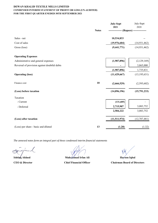# **DEWAN KHALID TEXTILE MILLS LIMITED CONDENSED INTERIM STATEMENT OF PROFIT OR LOSS (UN-AUDITED) FOR THE FIRST QUARTER ENEDED 30TH SEPTEMBER 2021**

|                                              |              | <b>July-Sept</b><br>2021 | July-Sept<br>2020 |
|----------------------------------------------|--------------|--------------------------|-------------------|
|                                              | <b>Notes</b> | ----------- (Rupees) -   |                   |
| Sales - net                                  |              | 10,534,833               |                   |
| Cost of sales                                |              | (19,976,604)             | (14, 931, 462)    |
| Gross (loss)                                 |              | (9,441,771)              | (14, 931, 462)    |
| <b>Operating Expenses</b>                    |              |                          |                   |
| Administrative and general expenses          |              | (1,987,896)              | (2,129,169)       |
| Reversal of provision against doubtful debts |              |                          | 3,865,000         |
|                                              |              | (1,987,896)              | 1,735,831         |
| <b>Operating (loss)</b>                      |              | (11, 429, 667)           | (13, 195, 631)    |
| Finance cost                                 | 10           | (2,666,529)              | (2,595,602)       |
| (Loss) before taxation                       |              | (14,096,196)             | (15,791,233)      |
| Taxation                                     |              |                          |                   |
| - Current                                    |              | (131, 685)               |                   |
| - Deferred                                   |              | 2,715,907                | 3,083,752         |
|                                              |              | 2,584,222                | 3,083,752         |
| (Loss) after taxation                        |              | (11,511,974)             | (12,707,481)      |
| (Loss) per share - basic and diluted         | 13           | (1.20)                   | (1.32)            |

**Ishtiaq Ahmed CEO & Director** 

**Muhammad Irfan Ali Chief Financial Officer**

**Chairman Board of Directors Haroon Iqbal**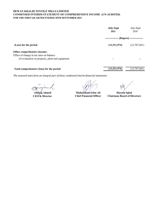# **DEWAN KHALID TEXTILE MILLS LIMITED CONDENSED INTERIM STATEMENT OF COMPREHENSIVE INCOME (UN-AUDITED) FOR THE FIRST QUARTER ENEDED 30TH SEPTEMBER 2021**

|                                                 | <b>July-Sept</b><br>2021  | July-Sept<br>2020        |
|-------------------------------------------------|---------------------------|--------------------------|
|                                                 | -----------               | (Rupees) --------------- |
| (Loss) for the period                           | (11,511,974)              | (12,707,481)             |
| Other comprehensive income:                     |                           |                          |
| Effect of change in tax rates on balance        |                           |                          |
| of revaluation on property, plant and equipment |                           |                          |
| Total comprehensive (loss) for the period       | $(11,511,9\overline{74})$ | (12,707,481)             |

**Ishti**<sup>d</sup>q Ahmed

**CEO & Director** 

**Muhammad Irfan Ali Chief Financial Officer**

**Chairman Board of Directors Haroon** Iqbal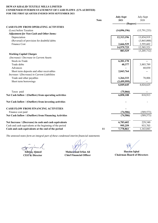# **DEWAN KHALID TEXTILE MILLS LIMITED CONDENSED INTERIM STATEMENT OF CASH FLOWS (UN-AUDITED) FOR THE FIRST QUARTER ENEDED 30TH SEPTEMBER 2021**

|                                                          | <b>Note</b> | <b>July-Sept</b><br>2021 | July-Sept<br>2020 |
|----------------------------------------------------------|-------------|--------------------------|-------------------|
|                                                          |             | --- (Rupees) --          |                   |
| <b>CASH FLOW FROM OPERATING ACTIVITIES</b>               |             |                          |                   |
| (Loss) before Taxation                                   |             | (14,096,196)             | (15,791,233)      |
| <b>Adjustment for Non-Cash and Other Items:</b>          |             |                          |                   |
| Depreciation                                             |             | 12,313,196               | 13,854,919        |
| (Reversal) of provision for doubtful debts               |             |                          | (3,865,000)       |
| Finance Cost                                             |             | 2,666,529                | 2,595,602         |
|                                                          |             | 14,979,725               | 12,585,521        |
|                                                          |             | 883,529                  | (3,205,712)       |
| <b>Working Capital Charges</b>                           |             |                          |                   |
| (Increase) / Decrease in Current Assets                  |             |                          |                   |
| Stock-in-Trade                                           |             | 6,201,170                |                   |
| Trade debts                                              |             | 40,377                   | 3,885,789         |
| Advances                                                 |             |                          | 60,030            |
| Short term deposits and other receivables                |             | 2,043,764                |                   |
| Increase / (Decrease) in Current Liabilities             |             |                          |                   |
| Trade and other payables                                 |             | 1,264,333                | 78,806            |
| Short term borrowings                                    |             | (3,499,999)              |                   |
|                                                          |             | 6,049,645                | 4,024,625         |
| Taxes paid                                               |             | (75,066)                 |                   |
| Net Cash Inflow / (Outflow) from operating activities    |             | 6,858,108                | 818,913           |
| Net Cash Inflow / (Outflow) from investing activities    |             |                          |                   |
| <b>CASH FLOW FROM FINANCING ACTIVITIES</b>               |             |                          |                   |
| Finance cost paid                                        |             | (74, 506)                | (589, 573)        |
| Net Cash Inflow / (Outflow) from Financing Activities    |             | (74, 506)                | (589, 573)        |
| Net Increase / (Decrease) in cash and cash equivalents   |             | 6,783,602                | 229,340           |
| Cash and cash equivalents at the beginning of the period |             | 995,259                  | 933,703           |
| Cash and cash equivalents at the end of the period       | 11          | 7,778,861                | 1,163,043         |

nu v **Ishti**nq Ahmed **CEO & Director** 

**Muhammad Irfan Ali Chief Financial Officer**

**Haroon** Iqbal **Chairman Board of Directors**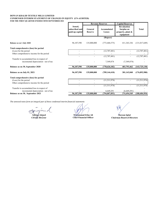#### **DEWAN KHALID TEXTILE MILLS LIMITED FOR THE FIRST QUARTER ENEDED 30TH SEPTEMBER 2021 CONDENSED INTERIM STATEMENT OF CHANGES IN EQUITY (UN-AUDITED)**

|                                                                                     |                                              | <b>Revenue Reserves</b>   |                              | <b>Capital Reserves</b>                                            |                 |  |
|-------------------------------------------------------------------------------------|----------------------------------------------|---------------------------|------------------------------|--------------------------------------------------------------------|-----------------|--|
|                                                                                     | Issued,<br>subscribed and<br>paid-up capital | General<br><b>Reserve</b> | Accumulated<br><b>Losses</b> | <b>Revaluation</b><br>Surplus on<br>property, plant &<br>equipment | <b>Total</b>    |  |
|                                                                                     |                                              |                           | (Rupees)                     |                                                                    |                 |  |
| Balance as on 1 July 2020                                                           | 96,107,590                                   | 135,000,000               | (773, 468, 575)              | 411, 343, 336                                                      | (131, 017, 649) |  |
| Total comprehensive (loss) for period                                               |                                              |                           |                              |                                                                    |                 |  |
| (Loss) for the period                                                               |                                              |                           | (12,707,481)                 |                                                                    | (12,707,481)    |  |
| Other comprehensive income for the period                                           |                                              |                           |                              |                                                                    |                 |  |
|                                                                                     |                                              |                           | (12,707,481)                 |                                                                    | (12,707,481)    |  |
| Transfer to accumulated loss in respect of<br>incremental depreciation - net of tax |                                              |                           | 7,549,874                    | (7,549,874)                                                        |                 |  |
| Balance as on 30, September 2020                                                    | 96,107,590                                   | 135,000,000               | (778, 626, 182)              | 403,793,462                                                        | (143, 725, 130) |  |
| Balance as on July 01, 2021                                                         | 96,107,590                                   | 135,000,000               | (789, 144, 410)              | 381,143,840                                                        | (176,892,980)   |  |
| Total comprehensive (loss) for period                                               |                                              |                           |                              |                                                                    |                 |  |
| (Loss) for the period                                                               |                                              |                           | (11,511,974)                 |                                                                    | (11,511,974)    |  |
| Other comprehensive income for the period                                           |                                              |                           |                              |                                                                    |                 |  |
|                                                                                     |                                              |                           | (11,511,974)                 |                                                                    | (11,511,974)    |  |
| Transfer to accumulated loss in respect of                                          |                                              |                           |                              |                                                                    |                 |  |
| incremental depreciation - net of tax                                               |                                              |                           | 6,649,291                    | (6,649,291)                                                        |                 |  |
| Balance as on 30, September 2021                                                    | 96,107,590                                   | 135,000,000               | (794, 007, 093)              | 374,494,549                                                        | (188, 404, 954) |  |

 $m$ 叉

**Ishtiaq Ahmed Haroon Iqbal Muhammad Irfan Ali Chief Financial Officer**

**CEO & Director Chairman Board of Directors**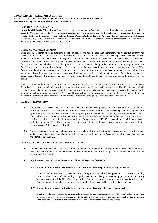### **DEWAN KHALID TEXTILE MILLS LIMITED NOTES TO THE CONDENSED INTERIM FINANCIAL STATEMENTS (UN-AUDITED) FOR THE FIRST QUARTER ENEDED 30TH SEPTEMBER 2021**

# **1 CORPORATE INFORMATION**

**Dewan Khalid Textile Mills Limited** (the Company) was incorporated in Pakistan, as a public limited company on April 03, 1978, under the Companies Act, 1913 (Now the Companies Acts, 2017) and its shares are listed in Pakistan Stock Exchange Limited. The registered office of the company is located at 3-A, Lalazar, Beach Hotel Road, Karachi, Pakistan; while its manufacturing facilities are located at G-11, S.I.T.E., Kotri, Sindh, Pakistan. The Principal activity of the Company is trading, manufacturing and sale of yarn, however operations are suspended since August, 2016.

# **<sup>2</sup> GOING CONCERN ASSUMPTION**

These condensed interim financial statements of the company for the period ended 30th September 2021 reflect that company has sustained a net loss after taxation of Rs.11.512 million (2021: Rs.45.875 million) and as of that date company has negative reserves of Rs.659.007 million which have resulted in negative equity of Rs.188.405 million. Further the company's short term borrowing facilities have expired and not been renewed. Company defaulted in repayment of its restructured liabilities due to liquidity crunch faced by the Company and adverse factors being faced by the overall textile industry in the country and working capital constriants faced by the company as a result the Company, for the time being, has suspended its manufacturing operations since August 2016. Accordingly, the entire restructured liabilities along with markup eligible for waiver have become immediately repayable. These conditions indicate the existence of material uncertainty which may cast significant doubt about the company's ability to continue as a going concern, therefore the company may not be able to realize its assets and discharge its liabilities during the normal course of business.

These condensed interim financial statements have been prepared on going concern assumption as the Company approached its lenders for further restructuring of its liabilities which is in process. Company is hopeful that such restructuring will be effective soon and will further streamline the funding requirements of the Company which will ultimately help the management to resume the operations with optimum utilization of production capacity. As the conditions mentioned in the foregoing paragraph are temporary and would reverse therefore the preparation of the condensed interim financial statements using going concern assumption is justified.

#### **3 BASIS OF PREPARATION**

- **3.1** These condensed interim financial statements of the Company have been prepared in accordance with the accounting and reporting standards as applicable in Pakistan for interim financial reporting. The accounting and reporting standards applicable in Pakistan for interim financial reporting comprise of International Accounting Standard (IAS) 34, "Interim Financial Reporting", issued by the International Accounting Standards Board (IASB) as notified under the Companies Act, 2017 and provisions of and directives issued under the Companies Act, 2017. Where provisions of and directives issued under the Companies Act, 2017 differ from the requirements of IAS 34, the provisions of and directives issued under the Companies Act, 2017 have been followed.
- **3.2** These condensed interim financial statements do not include all the information and disclosures required in the annual audited financial statements, and should be read in conjunction with the Company's annual audited financial statements for the year ended 30 June 2021.

#### **4 SIGNIFICANT ACCOUNTING POLICIES AND ESTIMATES**

**4.1** The accounting policies and methods of computation adopted and applied in the preparation of these condensed interim financial statements are consistent with those followed in the preparation of the Company's annual financial statements for the year ended 30 June 2021.

#### **4.2 Application of new and revised International Financial Reporting Standards**

#### **4.2.1 Standards, amendments to standards and interpretations becoming effective during the period**

There are certain new standards, amendments to existing standards and new interpretations on approved accounting standards that became effective during the period and are mandatory for accounting periods of the Company beginning on or after July 01, 2021 but are considered not to be relevant or not to have any material effect on the Company's operations and are, therefore, not disclosed in these condensed interim financial statements.

#### **4.2.2 Standards, amendments to standards and interpretations becoming effective in future periods**

There are certain new standards, amendments to standards and interpretations that will became effective in future accounting periods but are considered not to be relevant or not to have any material effect on the Company's operations and are, therefore, not disclosed in these condensed interim financial statements.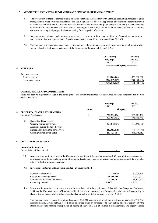#### **5 ACCOUNTING EXTIMATES, JUDGEMENTS AND FINANCIAL RISK MANAGEMENT**

- **5.1** The preparation of these condensed interim financial statements in conformity with approved accounting standards requires management to make estimates, assumptions and use judgments that affect the application of policies and reported amounts of assets and liabilities and income and expenses. Estimates, assumptions and judgments are continually evaluated and are based on historical experience and other factors, including reasonable expectations of future events. revision to accounting estimates are recognized prospectively commencing from the period of revision.
- **5.2** Judgements and estimates made by management in the preparation of these condensed interim financial statements are the same as those that were applied to the financial statements as at and for the year ended June 30, 2021.
- **5.3** The Company's financial risk management objectives and policies are consistent with those objectives and policies which were disclosed in the financial statements of the Company for the year ended June 30, 2021

|                         | (Un-Audited)<br><b>July-Sept</b><br>2021 | (Audited)<br>June 30,<br>2021 |
|-------------------------|------------------------------------------|-------------------------------|
| <b>RESERVES</b><br>6    | ----------                               | (Rupees) --------------       |
| <b>Revenue reserves</b> |                                          |                               |
| General reserves        | 135,000,000                              | 135,000,000                   |
| Accumulated losses      | (794, 007, 093)                          | (789, 144, 410)               |
|                         | (659,007,093)                            | (654, 144, 410)               |

# **7 CONTINGENCIES AND COMMITMENTS**

There has been no significant change in the contingencies and commitments since the last audited financial statements for the year ended June 30, 2021.

|   |     |                                         |              | <b>July-Sept</b><br>2021 | June 30,<br>2021 |
|---|-----|-----------------------------------------|--------------|--------------------------|------------------|
|   |     |                                         | <b>Notes</b> | (Rupees)                 |                  |
| 8 |     | <b>PROPERTY, PLANT &amp; EQUIPMENTS</b> |              |                          |                  |
|   |     | <b>Operating Fixed Assets</b>           | 8.1          | 553,735,156              | 566,048,352      |
|   |     |                                         |              | 553,735,156              | 566,048,352      |
|   | 8.1 | <b>Operating Fixed Assets</b>           |              |                          |                  |
|   |     | Opening written down value              |              | 566,048,352              | 621,468,028      |
|   |     | Additions during the period / year      |              |                          |                  |
|   |     | Depreciation during the period / year   |              | (12,313,196)             | (55, 419, 676)   |
|   |     | Closing written down value              |              | 553,735,156              | 566,048,352      |
| 9 |     | <b>LONG TERM INVESTMENT</b>             |              |                          |                  |

| Investment in associate    |     |       |
|----------------------------|-----|-------|
| Dewan Salman Fibre Limited | --- | $- -$ |
|                            |     |       |

**9.1** Associate is an entity over which the Company has significant influence but no control. Company's investee company is considered to be its associate by virtue of common directorship, member of yousuf dewan companies and its ownership interest of 8.81% in investee company.

#### **9.2 Investment in Dewan Salman Fibre Limited - at equity method**

| Number of shares held             | 32,279,849 | 32,279,849 |
|-----------------------------------|------------|------------|
| Cost of investment (Rupees)       | 40,000,000 | 40,000,000 |
| Fair value of investment (Rupees) | 28,406,267 | 28,406,267 |
| Ownership interest                | 8.81%      | $21\%$     |

**9.3** Investment in associated company was made in accordance with the requirement of then effective Companies Ordinance, 1984. As the Company's share of losses exceed its interest in the associate, the Company has discontinued recognising its share of further losses. Market value is based on last available quoted price as of February 19, 2018.

The Company vide its Board Resolution dated April 26, 2021 has approved to sell the investment of shares 32,279,849 in associate namely Dewan Salman Fibre Limited at a Price of Rs. 1/ per share. The share selling price has approved by the Board of Directors because of suspension of trading of shares of DSFL at Pakistan Stock Exchange. The approved share